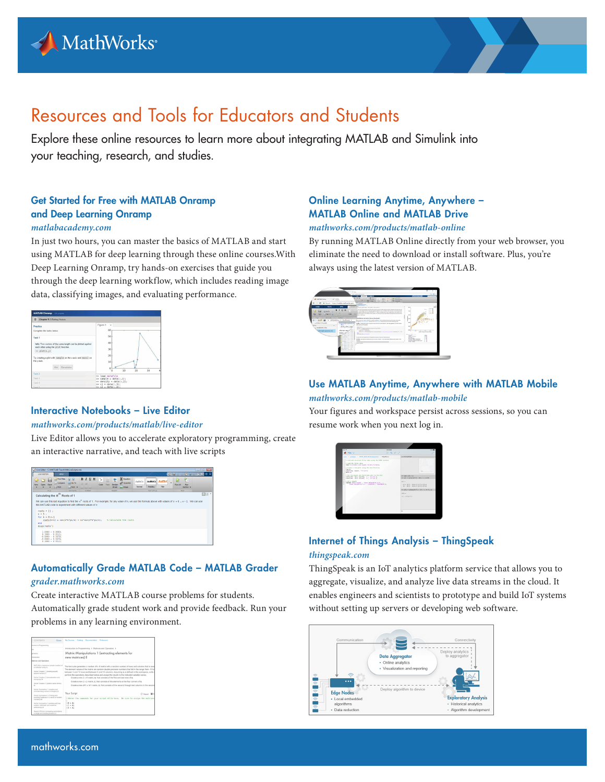



# Resources and Tools for Educators and Students

Explore these online resources to learn more about integrating MATLAB and Simulink into your teaching, research, and studies.

# Get Started for Free with MATLAB Onramp and Deep Learning Onramp

#### *matlabacademy.com*

In just two hours, you can master the basics of MATLAB and start using MATLAB for deep learning through these online courses.With Deep Learning Onramp, try hands-on exercises that guide you through the deep learning workflow, which includes reading image data, classifying images, and evaluating performance.

| <b>MATLAB Onramp</b> 13% complete                                                                                        |                                                                                                                                  |
|--------------------------------------------------------------------------------------------------------------------------|----------------------------------------------------------------------------------------------------------------------------------|
| Chapter 9.1 Plotting Vectors                                                                                             |                                                                                                                                  |
| Practica<br>Complete the tasks below.                                                                                    | Figure 1<br>$\overline{\mathbf{x}}$<br>60                                                                                        |
| Tack 1                                                                                                                   | 50                                                                                                                               |
| Info: Two vectors of the same length can be plotted against<br>each other using the plot function.<br>$\gg$ plot $(x,y)$ | 40<br>30                                                                                                                         |
| Try creating a plot with sample on the x-axis and mass1 on<br>the y-axis.<br>Hint Get solution                           | 20<br>10<br>ö<br>10<br>20<br>30<br>n                                                                                             |
| Task 2<br>Task 3<br>Taylo &<br>Task S.                                                                                   | >> load datafile<br>>> sample = data(:.1);<br>$\gg$ density = data(:,2);<br>$\gg$ v1 = data(:.3):<br>$\gg \sqrt{2}$ = data(:,4); |

## Interactive Notebooks – Live Editor

#### *mathworks.com/products/matlab/live-editor*

Live Editor allows you to accelerate exploratory programming, create an interactive narrative, and teach with live scripts

| The Editor - CIMATLABITeachWithLiveSoluts.wk                                                                 |                                                                                                                                                                                                                                                                                 |                                                                                                  | $-18.00$                                                      |
|--------------------------------------------------------------------------------------------------------------|---------------------------------------------------------------------------------------------------------------------------------------------------------------------------------------------------------------------------------------------------------------------------------|--------------------------------------------------------------------------------------------------|---------------------------------------------------------------|
| <b>UVE EDTOR</b><br><b>VEW</b>                                                                               |                                                                                                                                                                                                                                                                                 |                                                                                                  | 5007<br><b>AB</b><br>道安区                                      |
| <b>Thd Files</b><br>ы<br>Lis Compare<br><b>Osen</b><br>Save<br><b>CARTIE</b>                                 | 全安<br>BIUM<br>È<br>ъ<br>E<br>Co To<br>Yest<br>Section<br>Code<br><b>Q</b> Find +<br><b>Dreak</b><br>$D = 2B$ $15$                                                                                                                                                               | E tquaton<br>AsBbCc AaBbC<br>AsRECo<br>O Hyperink<br><b>Mormal</b><br>Heading<br><b>La Impos</b> | P.<br>٠<br><b>Ran</b><br><b>Bin All</b><br>Title<br>Section * |
| PER<br>Calculating the $n^{th}$ Roots of 1                                                                   | NAVIGATE<br>POSSAT<br><b>DOURT</b>                                                                                                                                                                                                                                              | TEXT STYLE                                                                                       | PLIN.<br>日回<br>×                                              |
| $roots = []$ ;<br>$0 - 5$ :<br>for $k = 0:n-1$<br>end<br>disp(roots')                                        | We can use this last equation to find the $n^0$ roots of 1. For example, for any value of n, we use the formula above with values of $k = 0n - 1$ . We can use<br>this MATLAB code to experiment with different values of a:<br>$roots(k-1) = cos(2+k+1/n) = 11*sin(2+k+1/n)$ : | A Calculate the roots                                                                            |                                                               |
| $1.0000 - 0.00001$<br>$0.1090 - 0.95111$<br>$-0.8998 - 0.58781$<br>$-0.8098 - 0.58781$<br>$0.3090 + 0.95111$ |                                                                                                                                                                                                                                                                                 |                                                                                                  |                                                               |

# Automatically Grade MATLAB Code – MATLAB Grader *[grader.mathworks.com](http://grader.mathworks.com)*

Create interactive MATLAB course problems for students. Automatically grade student work and provide feedback. Run your problems in any learning environment.

| <b>CONTENTS</b>                                                                            | My Courses Catalog Documentation Professors<br>Civie                                             |                                                                                                                                                                                                                                                                                                                                                                                                                                                                                                          |  |  |
|--------------------------------------------------------------------------------------------|--------------------------------------------------------------------------------------------------|----------------------------------------------------------------------------------------------------------------------------------------------------------------------------------------------------------------------------------------------------------------------------------------------------------------------------------------------------------------------------------------------------------------------------------------------------------------------------------------------------------|--|--|
| Buction to Programming                                                                     |                                                                                                  |                                                                                                                                                                                                                                                                                                                                                                                                                                                                                                          |  |  |
| ь                                                                                          |                                                                                                  | Introduction to Programming > Matrices and Operators >                                                                                                                                                                                                                                                                                                                                                                                                                                                   |  |  |
| <b>MARINE</b>                                                                              | Matrix Manipulations 1 (extracting elements for                                                  |                                                                                                                                                                                                                                                                                                                                                                                                                                                                                                          |  |  |
| threat artists                                                                             | new matrices) E                                                                                  |                                                                                                                                                                                                                                                                                                                                                                                                                                                                                                          |  |  |
| <b>Exhibits and Dearphorn</b>                                                              |                                                                                                  |                                                                                                                                                                                                                                                                                                                                                                                                                                                                                                          |  |  |
| MATLAB is Awesome! (simple creation of<br>a character array) E.                            |                                                                                                  | The test suite generates a random M x N matrix with a random number of rows and columns that is assi<br>The element values of the matrix are random double precision numbers that fall in the range from -10 to<br>between 5 and 10 rows and between 5 and 10 columns. Assuming & is defined in the workspace, write a<br>perform the operations described below and assign the results to the indicated variable names.<br>Create a new 2 x N matrix. B. that consists of the first and last rows of B. |  |  |
| Vector Creation 1 (creating equally<br>spaint sectoral fi                                  |                                                                                                  |                                                                                                                                                                                                                                                                                                                                                                                                                                                                                                          |  |  |
| Vector Creation 2 issuesterodon and<br>Ingregates/M                                        |                                                                                                  |                                                                                                                                                                                                                                                                                                                                                                                                                                                                                                          |  |  |
| Vector Creation 3.0 elleriz sades terms)                                                   | Create a new 2 x 2 matrix. C. that consists of the elements at the four conners of \$.           |                                                                                                                                                                                                                                                                                                                                                                                                                                                                                                          |  |  |
| $\sim$                                                                                     | Create a new M-1 x N-1 matrix. B. that consists of the second through last columns in the second |                                                                                                                                                                                                                                                                                                                                                                                                                                                                                                          |  |  |
| Vedor Gummastics 1 (creating and<br>concelenating vectors of integers) E.                  | Your Script                                                                                      | C Bear 00 h                                                                                                                                                                                                                                                                                                                                                                                                                                                                                              |  |  |
| Vector Gumnastics 2 (Finding and<br>counting instances in a vector of random.              |                                                                                                  |                                                                                                                                                                                                                                                                                                                                                                                                                                                                                                          |  |  |
| numbers) 54                                                                                | infinier the commands for your script mfile here. Be sure to assign the matrices                 |                                                                                                                                                                                                                                                                                                                                                                                                                                                                                                          |  |  |
| Vestor Cumnastins 3 (applies with han<br>vertees activewire and rainforced<br>addressing/M | $18 - 41$<br>$AC = A2$<br>$5.0 - A1$                                                             |                                                                                                                                                                                                                                                                                                                                                                                                                                                                                                          |  |  |
| Round Off Error (comparing summations)<br>in single and double precision) E.               |                                                                                                  |                                                                                                                                                                                                                                                                                                                                                                                                                                                                                                          |  |  |

# Online Learning Anytime, Anywhere – MATLAB Online and MATLAB Drive

#### *mathworks.com/products/matlab-online*

By running MATLAB Online directly from your web browser, you eliminate the need to download or install software. Plus, you're always using the latest version of MATLAB.



# Use MATLAB Anytime, Anywhere with MATLAB Mobile *mathworks.com/products/matlab-mobile*

Your figures and workspace persist across sessions, so you can resume work when you next log in.



# Internet of Things Analysis – ThingSpeak *thingspeak.com*

ThingSpeak is an IoT analytics platform service that allows you to aggregate, visualize, and analyze live data streams in the cloud. It enables engineers and scientists to prototype and build IoT systems without setting up servers or developing web software.